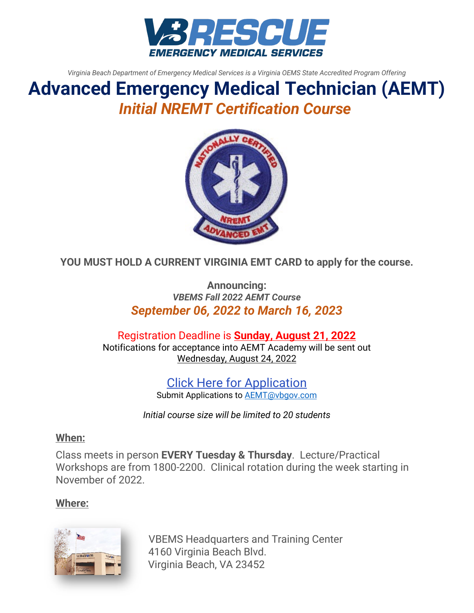

*Virginia Beach Department of Emergency Medical Services is a Virginia OEMS State Accredited Program Offering*

# **Advanced Emergency Medical Technician (AEMT)** *Initial NREMT Certification Course*



**YOU MUST HOLD A CURRENT VIRGINIA EMT CARD to apply for the course.**

**Announcing:** *VBEMS Fall 2022 AEMT Course September 06, 2022 to March 16, 2023*

Registration Deadline is **Sunday, August 21, 2022** Notifications for acceptance into AEMT Academy will be sent out Wednesday, August 24, 2022

> Click Here for Application Submit Applications to [AEMT@vbgov.com](mailto:AEMT@vbgov.com)

*Initial course size will be limited to 20 students* 

### **When:**

Class meets in person **EVERY Tuesday & Thursday**. Lecture/Practical Workshops are from 1800-2200. Clinical rotation during the week starting in November of 2022.

### **Where:**



VBEMS Headquarters and Training Center 4160 Virginia Beach Blvd. Virginia Beach, VA 23452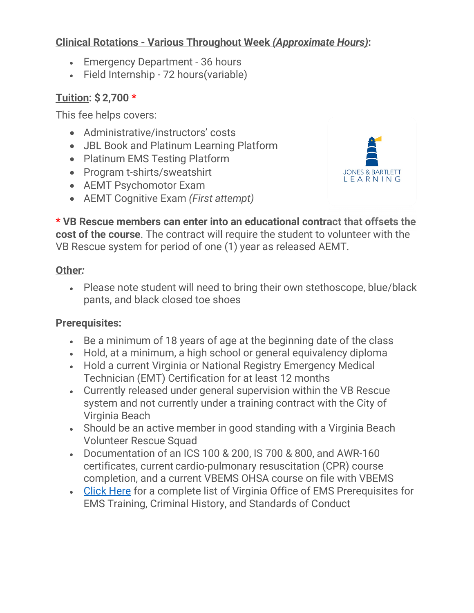# **Clinical Rotations - Various Throughout Week** *(Approximate Hours)***:**

- Emergency Department 36 hours
- Field Internship 72 hours(variable)

# **Tuition: \$ 2,700 \***

This fee helps covers:

- Administrative/instructors' costs
- JBL Book and Platinum Learning Platform
- Platinum EMS Testing Platform
- Program t-shirts/sweatshirt
- AEMT Psychomotor Exam
- AEMT Cognitive Exam *(First attempt)*

JONES & BARTLETT<br>L E A R N I N G

**\* VB Rescue members can enter into an educational contract that offsets the cost of the course**. The contract will require the student to volunteer with the VB Rescue system for period of one (1) year as released AEMT.

## **Other***:*

• Please note student will need to bring their own stethoscope, blue/black pants, and black closed toe shoes

# **Prerequisites:**

- Be a minimum of 18 years of age at the beginning date of the class
- Hold, at a minimum, a high school or general equivalency diploma
- Hold a current Virginia or National Registry Emergency Medical Technician (EMT) Certification for at least 12 months
- Currently released under general supervision within the VB Rescue system and not currently under a training contract with the City of Virginia Beach
- Should be an active member in good standing with a Virginia Beach Volunteer Rescue Squad
- Documentation of an ICS 100 & 200, IS 700 & 800, and AWR-160 certificates, current cardio-pulmonary resuscitation (CPR) course completion, and a current VBEMS OHSA course on file with VBEMS
- [Click Here](https://www.vdh.virginia.gov/content/uploads/sites/23/2016/05/TR-35-Prereqs-and-Conduct-3-5-19.pdf) for a complete list of Virginia Office of EMS Prerequisites for EMS Training, Criminal History, and Standards of Conduct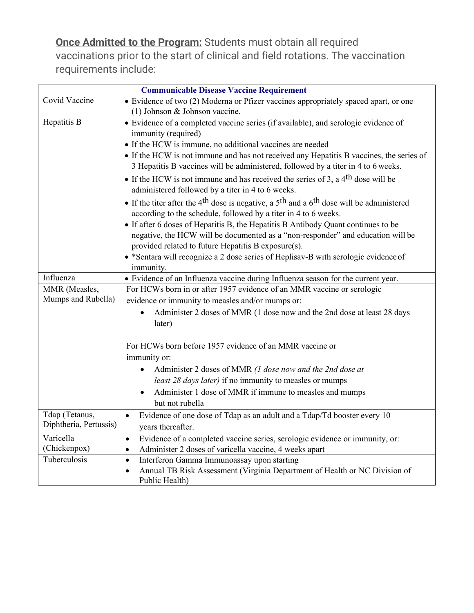**Once Admitted to the Program:** Students must obtain all required vaccinations prior to the start of clinical and field rotations. The vaccination requirements include:

| <b>Communicable Disease Vaccine Requirement</b> |                                                                                                                                                                                                 |
|-------------------------------------------------|-------------------------------------------------------------------------------------------------------------------------------------------------------------------------------------------------|
| Covid Vaccine                                   | • Evidence of two (2) Moderna or Pfizer vaccines appropriately spaced apart, or one                                                                                                             |
|                                                 | (1) Johnson & Johnson vaccine.                                                                                                                                                                  |
| Hepatitis B                                     | • Evidence of a completed vaccine series (if available), and serologic evidence of                                                                                                              |
|                                                 | immunity (required)                                                                                                                                                                             |
|                                                 | • If the HCW is immune, no additional vaccines are needed                                                                                                                                       |
|                                                 | • If the HCW is not immune and has not received any Hepatitis B vaccines, the series of<br>3 Hepatitis B vaccines will be administered, followed by a titer in 4 to 6 weeks.                    |
|                                                 | • If the HCW is not immune and has received the series of 3, a $4th$ dose will be<br>administered followed by a titer in 4 to 6 weeks.                                                          |
|                                                 | • If the titer after the 4 <sup>th</sup> dose is negative, a 5 <sup>th</sup> and a 6 <sup>th</sup> dose will be administered<br>according to the schedule, followed by a titer in 4 to 6 weeks. |
|                                                 | • If after 6 doses of Hepatitis B, the Hepatitis B Antibody Quant continues to be                                                                                                               |
|                                                 | negative, the HCW will be documented as a "non-responder" and education will be<br>provided related to future Hepatitis B exposure(s).                                                          |
|                                                 | • *Sentara will recognize a 2 dose series of Heplisav-B with serologic evidence of                                                                                                              |
|                                                 | immunity.                                                                                                                                                                                       |
| Influenza                                       | • Evidence of an Influenza vaccine during Influenza season for the current year.                                                                                                                |
| MMR (Measles,                                   | For HCWs born in or after 1957 evidence of an MMR vaccine or serologic                                                                                                                          |
| Mumps and Rubella)                              | evidence or immunity to measles and/or mumps or:                                                                                                                                                |
|                                                 | Administer 2 doses of MMR (1 dose now and the 2nd dose at least 28 days                                                                                                                         |
|                                                 | later)                                                                                                                                                                                          |
|                                                 |                                                                                                                                                                                                 |
|                                                 | For HCWs born before 1957 evidence of an MMR vaccine or                                                                                                                                         |
|                                                 | immunity or:                                                                                                                                                                                    |
|                                                 | Administer 2 doses of MMR (1 dose now and the 2nd dose at                                                                                                                                       |
|                                                 | least 28 days later) if no immunity to measles or mumps                                                                                                                                         |
|                                                 | Administer 1 dose of MMR if immune to measles and mumps<br>$\bullet$                                                                                                                            |
|                                                 | but not rubella                                                                                                                                                                                 |
| Tdap (Tetanus,<br>Diphtheria, Pertussis)        | Evidence of one dose of Tdap as an adult and a Tdap/Td booster every 10<br>$\bullet$                                                                                                            |
|                                                 | years thereafter.                                                                                                                                                                               |
| Varicella                                       | Evidence of a completed vaccine series, serologic evidence or immunity, or:<br>$\bullet$                                                                                                        |
| (Chickenpox)                                    | Administer 2 doses of varicella vaccine, 4 weeks apart<br>$\bullet$                                                                                                                             |
| Tuberculosis                                    | Interferon Gamma Immunoassay upon starting<br>$\bullet$                                                                                                                                         |
|                                                 | Annual TB Risk Assessment (Virginia Department of Health or NC Division of<br>$\bullet$                                                                                                         |
|                                                 | Public Health)                                                                                                                                                                                  |